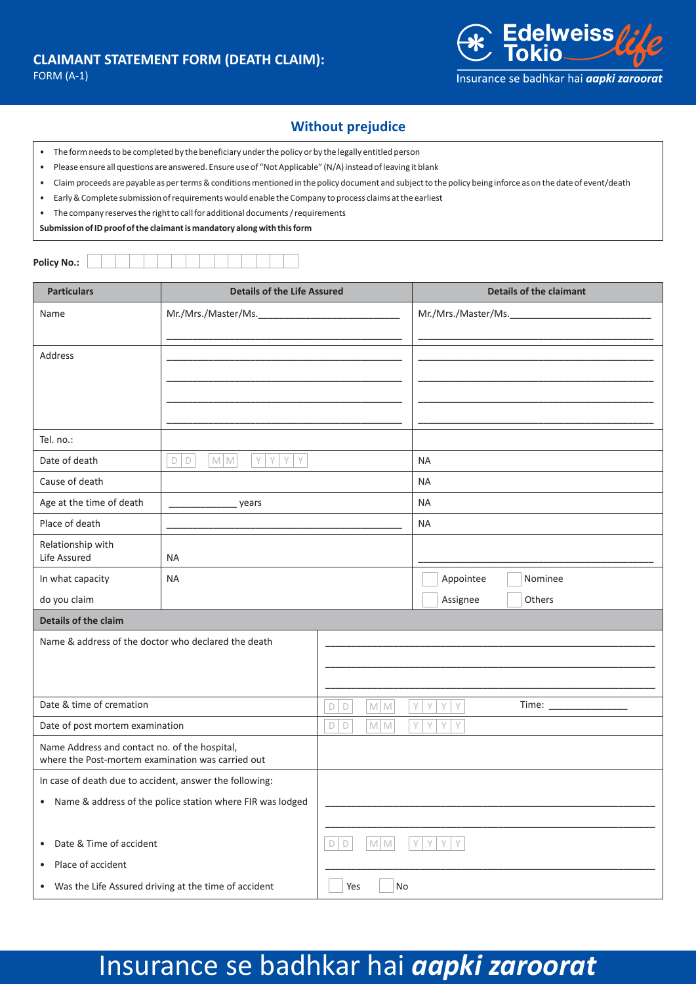

## **Without prejudice**

- The form needs to be completed by the beneficiary under the policy or by the legally entitled person
- Please ensure all questions are answered. Ensure use of "Not Applicable" (N/A) instead of leaving it blank
- Claim proceeds are payable as per terms & conditions mentioned in the policy document and subject to the policy being inforce as on the date of event/death
- Early & Complete submission of requirements would enable the Company to process claims at the earliest
- The company reserves the right to call for additional documents / requirements

**Submission of ID proof of the claimant is mandatory along with this form**

**Policy No.:**

| <b>Particulars</b>                                                                                 | <b>Details of the Life Assured</b>            |                              | <b>Details of the claimant</b>          |  |  |
|----------------------------------------------------------------------------------------------------|-----------------------------------------------|------------------------------|-----------------------------------------|--|--|
| Name                                                                                               |                                               |                              | Mr./Mrs./Master/Ms._____________        |  |  |
|                                                                                                    |                                               |                              |                                         |  |  |
| <b>Address</b>                                                                                     |                                               |                              |                                         |  |  |
|                                                                                                    |                                               |                              |                                         |  |  |
|                                                                                                    |                                               |                              |                                         |  |  |
|                                                                                                    |                                               |                              |                                         |  |  |
| Tel. no.:                                                                                          |                                               |                              |                                         |  |  |
| Date of death                                                                                      | $M$ $M$<br>YY<br>$D$ $D$<br>Y<br>$\mathsf{Y}$ |                              | <b>NA</b>                               |  |  |
| Cause of death                                                                                     |                                               |                              | <b>NA</b>                               |  |  |
| Age at the time of death                                                                           | _ years                                       |                              | <b>NA</b>                               |  |  |
| Place of death                                                                                     |                                               |                              | <b>NA</b>                               |  |  |
| Relationship with<br>Life Assured                                                                  | <b>NA</b>                                     |                              |                                         |  |  |
| In what capacity                                                                                   | <b>NA</b>                                     |                              | Appointee<br>Nominee                    |  |  |
| do you claim                                                                                       |                                               |                              | Assignee<br>Others                      |  |  |
| Details of the claim                                                                               |                                               |                              |                                         |  |  |
| Name & address of the doctor who declared the death                                                |                                               |                              |                                         |  |  |
|                                                                                                    |                                               |                              |                                         |  |  |
|                                                                                                    |                                               |                              |                                         |  |  |
| Date & time of cremation                                                                           |                                               | $\Box$<br>$M$ $M$<br>D       | Y<br>Time: $\frac{1}{1}$<br>Y<br>Y<br>Y |  |  |
| Date of post mortem examination                                                                    |                                               | $D$ $D$<br>$M$ $M$           | Y<br>Y<br>Y<br>Y                        |  |  |
| Name Address and contact no. of the hospital,<br>where the Post-mortem examination was carried out |                                               |                              |                                         |  |  |
| In case of death due to accident, answer the following:                                            |                                               |                              |                                         |  |  |
| • Name & address of the police station where FIR was lodged                                        |                                               |                              |                                         |  |  |
|                                                                                                    |                                               |                              |                                         |  |  |
| • Date & Time of accident                                                                          |                                               | D<br>$M$ $M$<br>$\mathsf{D}$ | Y<br>Y<br>Y<br>Y                        |  |  |
| Place of accident<br>$\bullet$                                                                     |                                               |                              |                                         |  |  |
| • Was the Life Assured driving at the time of accident                                             |                                               | Yes<br>No                    |                                         |  |  |

## Insurance se badhkar hai *aapki zaroorat*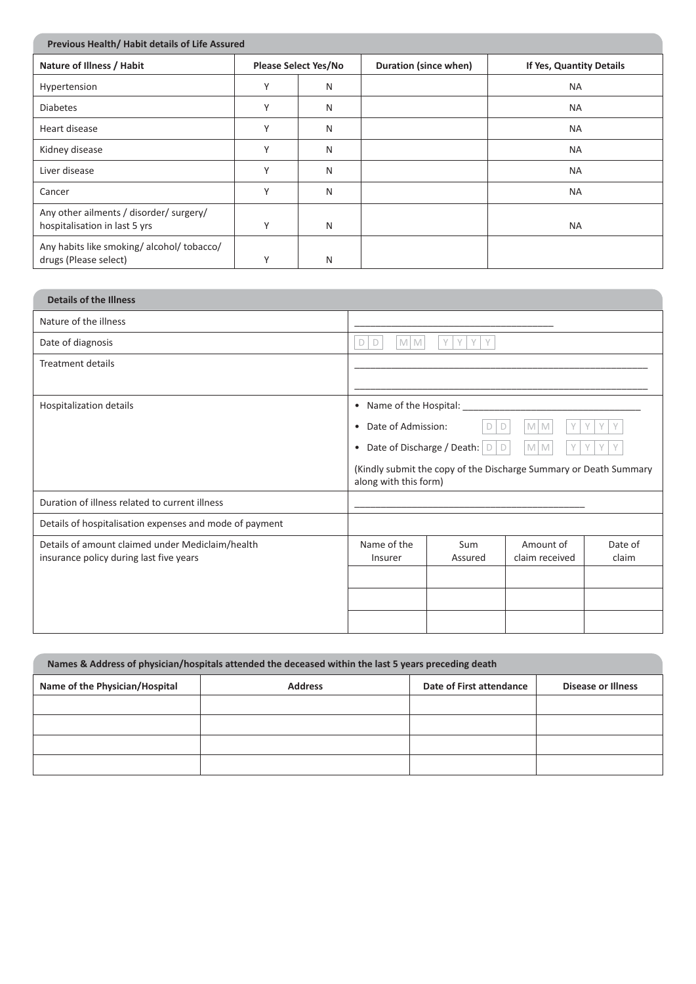| Previous Health/Habit details of Life Assured                            |              |                             |                       |                          |
|--------------------------------------------------------------------------|--------------|-----------------------------|-----------------------|--------------------------|
| Nature of Illness / Habit                                                |              | <b>Please Select Yes/No</b> | Duration (since when) | If Yes, Quantity Details |
| Hypertension                                                             | $\checkmark$ | N                           |                       | <b>NA</b>                |
| <b>Diabetes</b>                                                          | $\checkmark$ | N                           |                       | <b>NA</b>                |
| Heart disease                                                            | $\checkmark$ | N                           |                       | <b>NA</b>                |
| Kidney disease                                                           | $\checkmark$ | N                           |                       | <b>NA</b>                |
| Liver disease                                                            | $\checkmark$ | N                           |                       | <b>NA</b>                |
| Cancer                                                                   | $\vee$       | N                           |                       | <b>NA</b>                |
| Any other ailments / disorder/ surgery/<br>hospitalisation in last 5 yrs | $\checkmark$ | N                           |                       | <b>NA</b>                |
| Any habits like smoking/alcohol/tobacco/<br>drugs (Please select)        | $\checkmark$ | N                           |                       |                          |

| <b>Details of the Illness</b>                                                               |                                         |                       |                                                                   |                  |
|---------------------------------------------------------------------------------------------|-----------------------------------------|-----------------------|-------------------------------------------------------------------|------------------|
| Nature of the illness                                                                       |                                         |                       |                                                                   |                  |
| Date of diagnosis                                                                           | <b>MM</b><br>D<br>D                     | Y<br>$\vee$<br>V<br>Y |                                                                   |                  |
| Treatment details                                                                           |                                         |                       |                                                                   |                  |
|                                                                                             |                                         |                       |                                                                   |                  |
| • Name of the Hospital:<br>Hospitalization details                                          |                                         |                       |                                                                   |                  |
|                                                                                             | Date of Admission:<br>$\bullet$         | D                     | Y<br>M<br>M                                                       | V                |
|                                                                                             | Date of Discharge / Death:<br>$\bullet$ | D<br>D                | $M$ M                                                             |                  |
|                                                                                             | along with this form)                   |                       | (Kindly submit the copy of the Discharge Summary or Death Summary |                  |
| Duration of illness related to current illness                                              |                                         |                       |                                                                   |                  |
| Details of hospitalisation expenses and mode of payment                                     |                                         |                       |                                                                   |                  |
| Details of amount claimed under Mediclaim/health<br>insurance policy during last five years | Name of the<br>Insurer                  | Sum<br>Assured        | Amount of<br>claim received                                       | Date of<br>claim |
|                                                                                             |                                         |                       |                                                                   |                  |
|                                                                                             |                                         |                       |                                                                   |                  |
|                                                                                             |                                         |                       |                                                                   |                  |
|                                                                                             |                                         |                       |                                                                   |                  |

| Names & Address of physician/hospitals attended the deceased within the last 5 years preceding death |                |                          |                    |  |
|------------------------------------------------------------------------------------------------------|----------------|--------------------------|--------------------|--|
| Name of the Physician/Hospital                                                                       | <b>Address</b> | Date of First attendance | Disease or Illness |  |
|                                                                                                      |                |                          |                    |  |
|                                                                                                      |                |                          |                    |  |
|                                                                                                      |                |                          |                    |  |
|                                                                                                      |                |                          |                    |  |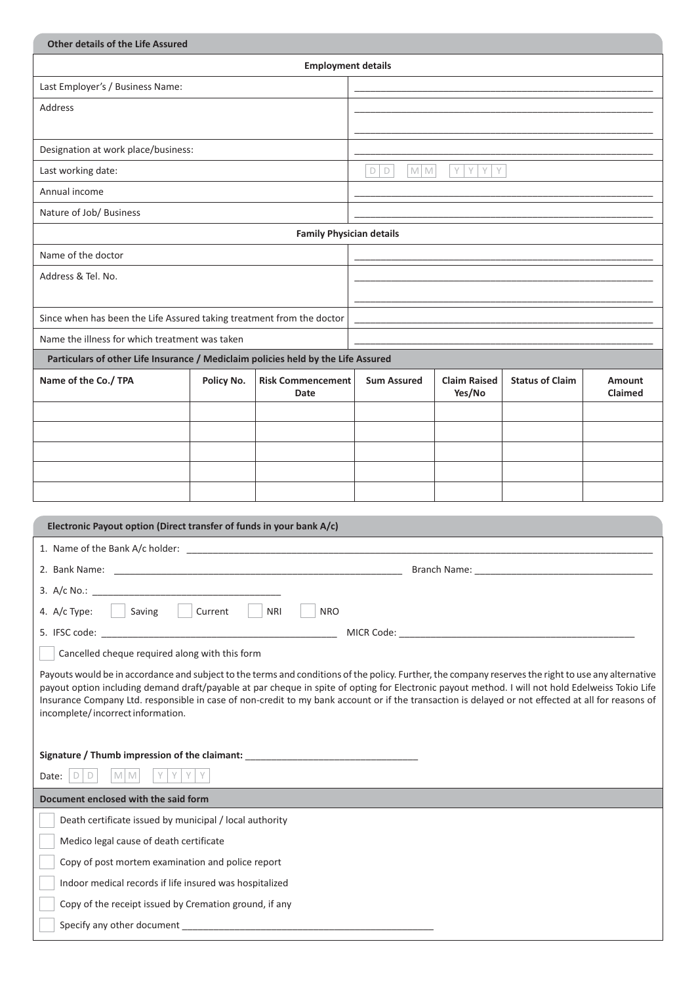| <b>Other details of the Life Assured</b>                                                                                                                                                |            |                                 |                    |                     |                        |               |
|-----------------------------------------------------------------------------------------------------------------------------------------------------------------------------------------|------------|---------------------------------|--------------------|---------------------|------------------------|---------------|
| <b>Employment details</b>                                                                                                                                                               |            |                                 |                    |                     |                        |               |
| Last Employer's / Business Name:                                                                                                                                                        |            |                                 |                    |                     |                        |               |
| <b>Address</b>                                                                                                                                                                          |            |                                 |                    |                     |                        |               |
|                                                                                                                                                                                         |            |                                 |                    |                     |                        |               |
| Designation at work place/business:                                                                                                                                                     |            |                                 |                    |                     |                        |               |
| Last working date:                                                                                                                                                                      |            |                                 | $D$ $D$<br>$M$ $M$ | YY<br>Y<br>Y        |                        |               |
| Annual income                                                                                                                                                                           |            |                                 |                    |                     |                        |               |
| Nature of Job/ Business                                                                                                                                                                 |            |                                 |                    |                     |                        |               |
|                                                                                                                                                                                         |            | <b>Family Physician details</b> |                    |                     |                        |               |
| Name of the doctor                                                                                                                                                                      |            |                                 |                    |                     |                        |               |
| Address & Tel. No.                                                                                                                                                                      |            |                                 |                    |                     |                        |               |
|                                                                                                                                                                                         |            |                                 |                    |                     |                        |               |
| Since when has been the Life Assured taking treatment from the doctor                                                                                                                   |            |                                 |                    |                     |                        |               |
| Name the illness for which treatment was taken                                                                                                                                          |            |                                 |                    |                     |                        |               |
| Particulars of other Life Insurance / Mediclaim policies held by the Life Assured                                                                                                       |            |                                 |                    |                     |                        |               |
| Name of the Co./ TPA                                                                                                                                                                    | Policy No. | <b>Risk Commencement</b>        | <b>Sum Assured</b> | <b>Claim Raised</b> | <b>Status of Claim</b> | <b>Amount</b> |
|                                                                                                                                                                                         |            | Date                            |                    | Yes/No              |                        | Claimed       |
|                                                                                                                                                                                         |            |                                 |                    |                     |                        |               |
|                                                                                                                                                                                         |            |                                 |                    |                     |                        |               |
|                                                                                                                                                                                         |            |                                 |                    |                     |                        |               |
|                                                                                                                                                                                         |            |                                 |                    |                     |                        |               |
|                                                                                                                                                                                         |            |                                 |                    |                     |                        |               |
| Electronic Payout option (Direct transfer of funds in your bank A/c)                                                                                                                    |            |                                 |                    |                     |                        |               |
| 1. Name of the Bank A/c holder: _________                                                                                                                                               |            |                                 |                    |                     |                        |               |
|                                                                                                                                                                                         |            |                                 |                    |                     |                        |               |
| 3. A/c No.:                                                                                                                                                                             |            |                                 |                    |                     |                        |               |
| Saving   Current<br>4. A/c Type:<br><b>NRI</b><br><b>NRO</b>                                                                                                                            |            |                                 |                    |                     |                        |               |
|                                                                                                                                                                                         |            |                                 |                    |                     |                        |               |
| Cancelled cheque required along with this form                                                                                                                                          |            |                                 |                    |                     |                        |               |
| Payouts would be in accordance and subject to the terms and conditions of the policy. Further, the company reserves the right to use any alternative                                    |            |                                 |                    |                     |                        |               |
| payout option including demand draft/payable at par cheque in spite of opting for Electronic payout method. I will not hold Edelweiss Tokio Life                                        |            |                                 |                    |                     |                        |               |
| Insurance Company Ltd. responsible in case of non-credit to my bank account or if the transaction is delayed or not effected at all for reasons of<br>incomplete/incorrect information. |            |                                 |                    |                     |                        |               |
|                                                                                                                                                                                         |            |                                 |                    |                     |                        |               |
| Signature / Thumb impression of the claimant: __________________________________                                                                                                        |            |                                 |                    |                     |                        |               |
| M M<br>Y.<br>Date: $\bigcup$ $\bigcup$ $\bigcup$<br>Υ                                                                                                                                   |            |                                 |                    |                     |                        |               |
| Document enclosed with the said form                                                                                                                                                    |            |                                 |                    |                     |                        |               |
| Death certificate issued by municipal / local authority                                                                                                                                 |            |                                 |                    |                     |                        |               |
| Medico legal cause of death certificate                                                                                                                                                 |            |                                 |                    |                     |                        |               |
| Copy of post mortem examination and police report                                                                                                                                       |            |                                 |                    |                     |                        |               |
| Indoor medical records if life insured was hospitalized                                                                                                                                 |            |                                 |                    |                     |                        |               |
| Copy of the receipt issued by Cremation ground, if any                                                                                                                                  |            |                                 |                    |                     |                        |               |
|                                                                                                                                                                                         |            |                                 |                    |                     |                        |               |